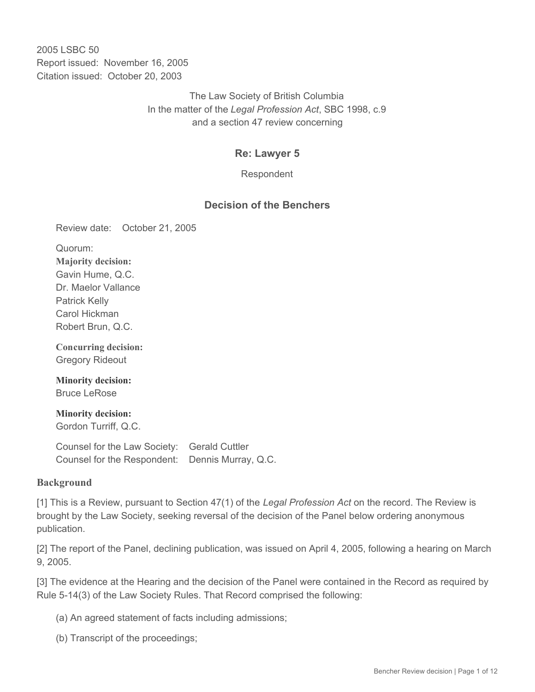2005 LSBC 50 Report issued: November 16, 2005 Citation issued: October 20, 2003

> The Law Society of British Columbia In the matter of the *Legal Profession Act*, SBC 1998, c.9 and a section 47 review concerning

### **Re: Lawyer 5**

Respondent

#### **Decision of the Benchers**

Review date: October 21, 2005

Quorum: **Majority decision:** Gavin Hume, Q.C. Dr. Maelor Vallance Patrick Kelly Carol Hickman Robert Brun, Q.C.

**Concurring decision:** Gregory Rideout

**Minority decision:** Bruce LeRose

**Minority decision:** Gordon Turriff, Q.C.

Counsel for the Law Society: Gerald Cuttler Counsel for the Respondent: Dennis Murray, Q.C.

#### **Background**

[1] This is a Review, pursuant to Section 47(1) of the *Legal Profession Act* on the record. The Review is brought by the Law Society, seeking reversal of the decision of the Panel below ordering anonymous publication.

[2] The report of the Panel, declining publication, was issued on April 4, 2005, following a hearing on March 9, 2005.

[3] The evidence at the Hearing and the decision of the Panel were contained in the Record as required by Rule 5-14(3) of the Law Society Rules. That Record comprised the following:

(a) An agreed statement of facts including admissions;

(b) Transcript of the proceedings;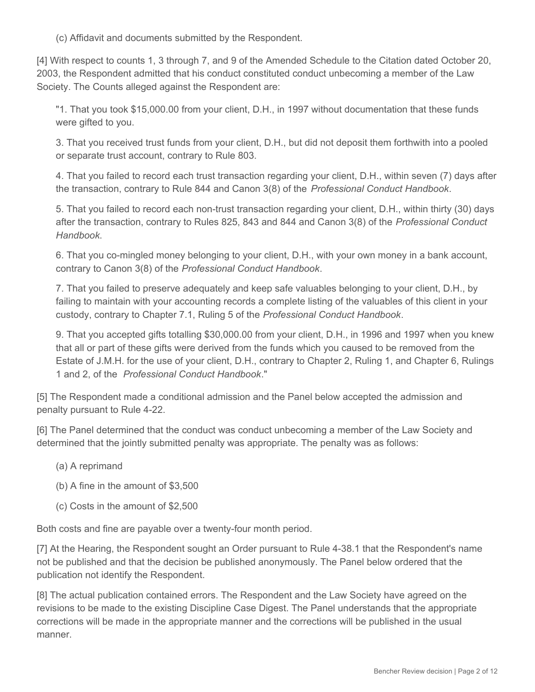(c) Affidavit and documents submitted by the Respondent.

[4] With respect to counts 1, 3 through 7, and 9 of the Amended Schedule to the Citation dated October 20, 2003, the Respondent admitted that his conduct constituted conduct unbecoming a member of the Law Society. The Counts alleged against the Respondent are:

"1. That you took \$15,000.00 from your client, D.H., in 1997 without documentation that these funds were gifted to you.

3. That you received trust funds from your client, D.H., but did not deposit them forthwith into a pooled or separate trust account, contrary to Rule 803.

4. That you failed to record each trust transaction regarding your client, D.H., within seven (7) days after the transaction, contrary to Rule 844 and Canon 3(8) of the *Professional Conduct Handbook*.

5. That you failed to record each non-trust transaction regarding your client, D.H., within thirty (30) days after the transaction, contrary to Rules 825, 843 and 844 and Canon 3(8) of the *Professional Conduct Handbook*.

6. That you co-mingled money belonging to your client, D.H., with your own money in a bank account, contrary to Canon 3(8) of the *Professional Conduct Handbook*.

7. That you failed to preserve adequately and keep safe valuables belonging to your client, D.H., by failing to maintain with your accounting records a complete listing of the valuables of this client in your custody, contrary to Chapter 7.1, Ruling 5 of the *Professional Conduct Handbook*.

9. That you accepted gifts totalling \$30,000.00 from your client, D.H., in 1996 and 1997 when you knew that all or part of these gifts were derived from the funds which you caused to be removed from the Estate of J.M.H. for the use of your client, D.H., contrary to Chapter 2, Ruling 1, and Chapter 6, Rulings 1 and 2, of the *Professional Conduct Handbook*."

[5] The Respondent made a conditional admission and the Panel below accepted the admission and penalty pursuant to Rule 4-22.

[6] The Panel determined that the conduct was conduct unbecoming a member of the Law Society and determined that the jointly submitted penalty was appropriate. The penalty was as follows:

- (a) A reprimand
- (b) A fine in the amount of \$3,500
- (c) Costs in the amount of \$2,500

Both costs and fine are payable over a twenty-four month period.

[7] At the Hearing, the Respondent sought an Order pursuant to Rule 4-38.1 that the Respondent's name not be published and that the decision be published anonymously. The Panel below ordered that the publication not identify the Respondent.

[8] The actual publication contained errors. The Respondent and the Law Society have agreed on the revisions to be made to the existing Discipline Case Digest. The Panel understands that the appropriate corrections will be made in the appropriate manner and the corrections will be published in the usual manner.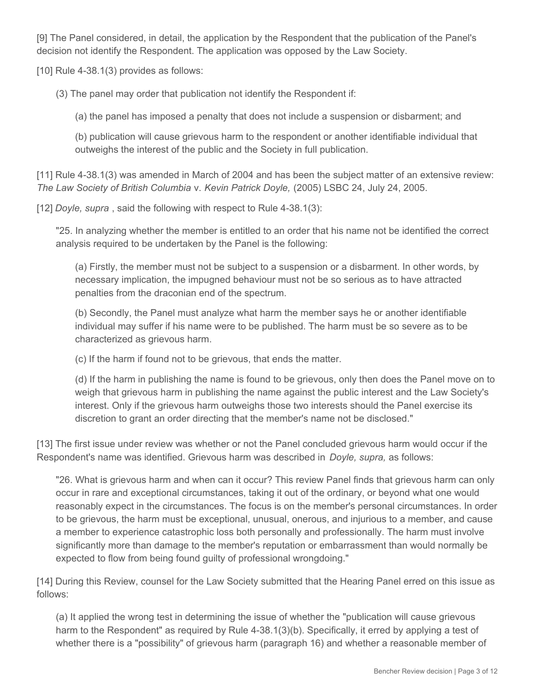[9] The Panel considered, in detail, the application by the Respondent that the publication of the Panel's decision not identify the Respondent. The application was opposed by the Law Society.

[10] Rule 4-38.1(3) provides as follows:

(3) The panel may order that publication not identify the Respondent if:

(a) the panel has imposed a penalty that does not include a suspension or disbarment; and

(b) publication will cause grievous harm to the respondent or another identifiable individual that outweighs the interest of the public and the Society in full publication.

[11] Rule 4-38.1(3) was amended in March of 2004 and has been the subject matter of an extensive review: *The Law Society of British Columbia* v. *Kevin Patrick Doyle,* (2005) LSBC 24, July 24, 2005.

[12] *Doyle, supra* , said the following with respect to Rule 4-38.1(3):

"25. In analyzing whether the member is entitled to an order that his name not be identified the correct analysis required to be undertaken by the Panel is the following:

(a) Firstly, the member must not be subject to a suspension or a disbarment. In other words, by necessary implication, the impugned behaviour must not be so serious as to have attracted penalties from the draconian end of the spectrum.

(b) Secondly, the Panel must analyze what harm the member says he or another identifiable individual may suffer if his name were to be published. The harm must be so severe as to be characterized as grievous harm.

(c) If the harm if found not to be grievous, that ends the matter.

(d) If the harm in publishing the name is found to be grievous, only then does the Panel move on to weigh that grievous harm in publishing the name against the public interest and the Law Society's interest. Only if the grievous harm outweighs those two interests should the Panel exercise its discretion to grant an order directing that the member's name not be disclosed."

[13] The first issue under review was whether or not the Panel concluded grievous harm would occur if the Respondent's name was identified. Grievous harm was described in *Doyle, supra,* as follows:

"26. What is grievous harm and when can it occur? This review Panel finds that grievous harm can only occur in rare and exceptional circumstances, taking it out of the ordinary, or beyond what one would reasonably expect in the circumstances. The focus is on the member's personal circumstances. In order to be grievous, the harm must be exceptional, unusual, onerous, and injurious to a member, and cause a member to experience catastrophic loss both personally and professionally. The harm must involve significantly more than damage to the member's reputation or embarrassment than would normally be expected to flow from being found guilty of professional wrongdoing."

[14] During this Review, counsel for the Law Society submitted that the Hearing Panel erred on this issue as follows:

(a) It applied the wrong test in determining the issue of whether the "publication will cause grievous harm to the Respondent" as required by Rule 4-38.1(3)(b). Specifically, it erred by applying a test of whether there is a "possibility" of grievous harm (paragraph 16) and whether a reasonable member of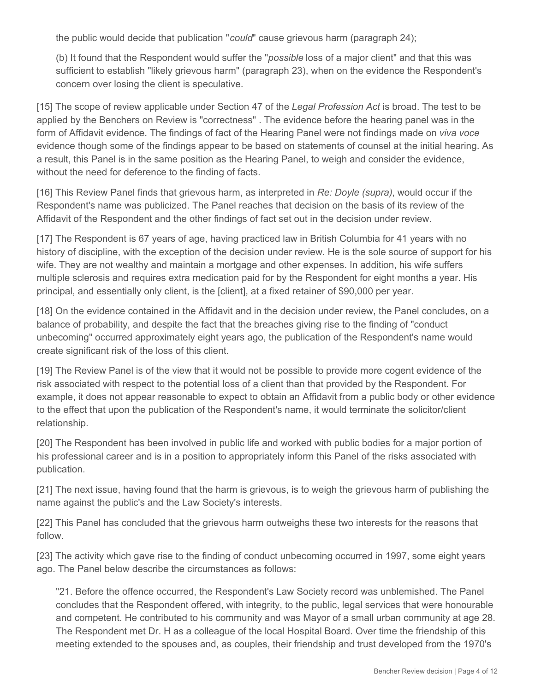the public would decide that publication "*could*" cause grievous harm (paragraph 24);

(b) It found that the Respondent would suffer the "*possible* loss of a major client" and that this was sufficient to establish "likely grievous harm" (paragraph 23), when on the evidence the Respondent's concern over losing the client is speculative.

[15] The scope of review applicable under Section 47 of the *Legal Profession Act* is broad. The test to be applied by the Benchers on Review is "correctness" . The evidence before the hearing panel was in the form of Affidavit evidence. The findings of fact of the Hearing Panel were not findings made on *viva voce* evidence though some of the findings appear to be based on statements of counsel at the initial hearing. As a result, this Panel is in the same position as the Hearing Panel, to weigh and consider the evidence, without the need for deference to the finding of facts.

[16] This Review Panel finds that grievous harm, as interpreted in *Re: Doyle (supra)*, would occur if the Respondent's name was publicized. The Panel reaches that decision on the basis of its review of the Affidavit of the Respondent and the other findings of fact set out in the decision under review.

[17] The Respondent is 67 years of age, having practiced law in British Columbia for 41 years with no history of discipline, with the exception of the decision under review. He is the sole source of support for his wife. They are not wealthy and maintain a mortgage and other expenses. In addition, his wife suffers multiple sclerosis and requires extra medication paid for by the Respondent for eight months a year. His principal, and essentially only client, is the [client], at a fixed retainer of \$90,000 per year.

[18] On the evidence contained in the Affidavit and in the decision under review, the Panel concludes, on a balance of probability, and despite the fact that the breaches giving rise to the finding of "conduct unbecoming" occurred approximately eight years ago, the publication of the Respondent's name would create significant risk of the loss of this client.

[19] The Review Panel is of the view that it would not be possible to provide more cogent evidence of the risk associated with respect to the potential loss of a client than that provided by the Respondent. For example, it does not appear reasonable to expect to obtain an Affidavit from a public body or other evidence to the effect that upon the publication of the Respondent's name, it would terminate the solicitor/client relationship.

[20] The Respondent has been involved in public life and worked with public bodies for a major portion of his professional career and is in a position to appropriately inform this Panel of the risks associated with publication.

[21] The next issue, having found that the harm is grievous, is to weigh the grievous harm of publishing the name against the public's and the Law Society's interests.

[22] This Panel has concluded that the grievous harm outweighs these two interests for the reasons that follow.

[23] The activity which gave rise to the finding of conduct unbecoming occurred in 1997, some eight years ago. The Panel below describe the circumstances as follows:

"21. Before the offence occurred, the Respondent's Law Society record was unblemished. The Panel concludes that the Respondent offered, with integrity, to the public, legal services that were honourable and competent. He contributed to his community and was Mayor of a small urban community at age 28. The Respondent met Dr. H as a colleague of the local Hospital Board. Over time the friendship of this meeting extended to the spouses and, as couples, their friendship and trust developed from the 1970's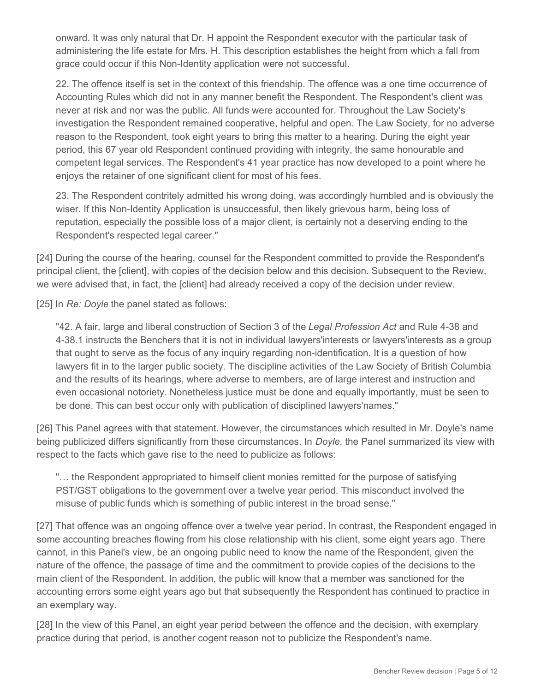onward. It was only natural that Dr. H appoint the Respondent executor with the particular task of administering the life estate for Mrs. H. This description establishes the height from which a fall from grace could occur if this Non-Identity application were not successful.

22. The offence itself is set in the context of this friendship. The offence was a one time occurrence of Accounting Rules which did not in any manner benefit the Respondent. The Respondent's client was never at risk and nor was the public. All funds were accounted for. Throughout the Law Society's investigation the Respondent remained cooperative, helpful and open. The Law Society, for no adverse reason to the Respondent, took eight years to bring this matter to a hearing. During the eight year period, this 67 year old Respondent continued providing with integrity, the same honourable and competent legal services. The Respondent's 41 year practice has now developed to a point where he enjoys the retainer of one significant client for most of his fees.

23. The Respondent contritely admitted his wrong doing, was accordingly humbled and is obviously the wiser. If this Non-Identity Application is unsuccessful, then likely grievous harm, being loss of reputation, especially the possible loss of a major client, is certainly not a deserving ending to the Respondent's respected legal career."

[24] During the course of the hearing, counsel for the Respondent committed to provide the Respondent's principal client, the [client], with copies of the decision below and this decision. Subsequent to the Review, we were advised that, in fact, the [client] had already received a copy of the decision under review.

[25] In *Re: Doyle* the panel stated as follows:

"42. A fair, large and liberal construction of Section 3 of the *Legal Profession Act* and Rule 4-38 and 4-38.1 instructs the Benchers that it is not in individual lawyers'interests or lawyers'interests as a group that ought to serve as the focus of any inquiry regarding non-identification. It is a question of how lawyers fit in to the larger public society. The discipline activities of the Law Society of British Columbia and the results of its hearings, where adverse to members, are of large interest and instruction and even occasional notoriety. Nonetheless justice must be done and equally importantly, must be seen to be done. This can best occur only with publication of disciplined lawyers'names."

[26] This Panel agrees with that statement. However, the circumstances which resulted in Mr. Doyle's name being publicized differs significantly from these circumstances. In *Doyle*, the Panel summarized its view with respect to the facts which gave rise to the need to publicize as follows:

"… the Respondent appropriated to himself client monies remitted for the purpose of satisfying PST/GST obligations to the government over a twelve year period. This misconduct involved the misuse of public funds which is something of public interest in the broad sense."

[27] That offence was an ongoing offence over a twelve year period. In contrast, the Respondent engaged in some accounting breaches flowing from his close relationship with his client, some eight years ago. There cannot, in this Panel's view, be an ongoing public need to know the name of the Respondent, given the nature of the offence, the passage of time and the commitment to provide copies of the decisions to the main client of the Respondent. In addition, the public will know that a member was sanctioned for the accounting errors some eight years ago but that subsequently the Respondent has continued to practice in an exemplary way.

[28] In the view of this Panel, an eight year period between the offence and the decision, with exemplary practice during that period, is another cogent reason not to publicize the Respondent's name.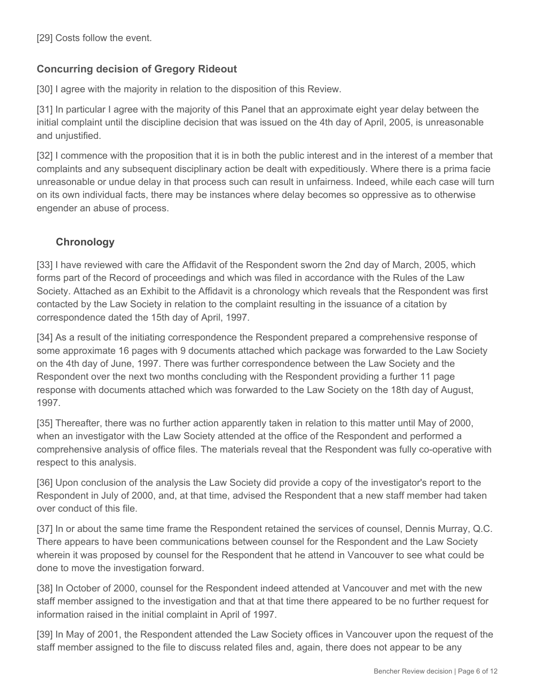[29] Costs follow the event.

## **Concurring decision of Gregory Rideout**

[30] I agree with the majority in relation to the disposition of this Review.

[31] In particular I agree with the majority of this Panel that an approximate eight year delay between the initial complaint until the discipline decision that was issued on the 4th day of April, 2005, is unreasonable and unjustified.

[32] I commence with the proposition that it is in both the public interest and in the interest of a member that complaints and any subsequent disciplinary action be dealt with expeditiously. Where there is a prima facie unreasonable or undue delay in that process such can result in unfairness. Indeed, while each case will turn on its own individual facts, there may be instances where delay becomes so oppressive as to otherwise engender an abuse of process.

# **Chronology**

[33] I have reviewed with care the Affidavit of the Respondent sworn the 2nd day of March, 2005, which forms part of the Record of proceedings and which was filed in accordance with the Rules of the Law Society. Attached as an Exhibit to the Affidavit is a chronology which reveals that the Respondent was first contacted by the Law Society in relation to the complaint resulting in the issuance of a citation by correspondence dated the 15th day of April, 1997.

[34] As a result of the initiating correspondence the Respondent prepared a comprehensive response of some approximate 16 pages with 9 documents attached which package was forwarded to the Law Society on the 4th day of June, 1997. There was further correspondence between the Law Society and the Respondent over the next two months concluding with the Respondent providing a further 11 page response with documents attached which was forwarded to the Law Society on the 18th day of August, 1997.

[35] Thereafter, there was no further action apparently taken in relation to this matter until May of 2000, when an investigator with the Law Society attended at the office of the Respondent and performed a comprehensive analysis of office files. The materials reveal that the Respondent was fully co-operative with respect to this analysis.

[36] Upon conclusion of the analysis the Law Society did provide a copy of the investigator's report to the Respondent in July of 2000, and, at that time, advised the Respondent that a new staff member had taken over conduct of this file.

[37] In or about the same time frame the Respondent retained the services of counsel, Dennis Murray, Q.C. There appears to have been communications between counsel for the Respondent and the Law Society wherein it was proposed by counsel for the Respondent that he attend in Vancouver to see what could be done to move the investigation forward.

[38] In October of 2000, counsel for the Respondent indeed attended at Vancouver and met with the new staff member assigned to the investigation and that at that time there appeared to be no further request for information raised in the initial complaint in April of 1997.

[39] In May of 2001, the Respondent attended the Law Society offices in Vancouver upon the request of the staff member assigned to the file to discuss related files and, again, there does not appear to be any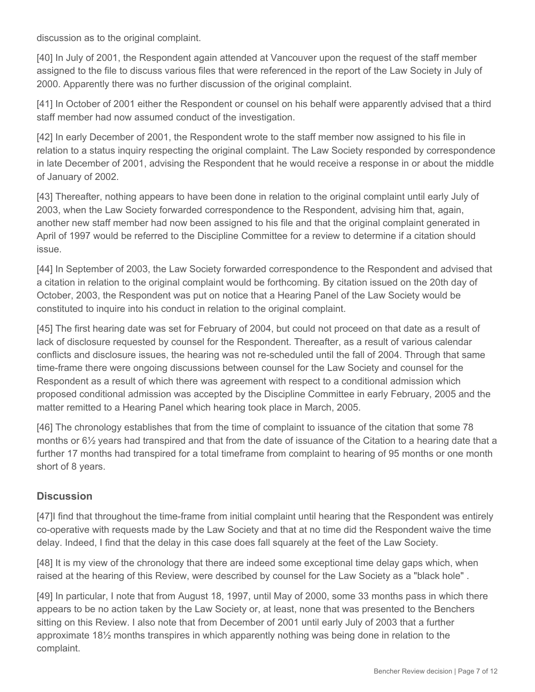discussion as to the original complaint.

[40] In July of 2001, the Respondent again attended at Vancouver upon the request of the staff member assigned to the file to discuss various files that were referenced in the report of the Law Society in July of 2000. Apparently there was no further discussion of the original complaint.

[41] In October of 2001 either the Respondent or counsel on his behalf were apparently advised that a third staff member had now assumed conduct of the investigation.

[42] In early December of 2001, the Respondent wrote to the staff member now assigned to his file in relation to a status inquiry respecting the original complaint. The Law Society responded by correspondence in late December of 2001, advising the Respondent that he would receive a response in or about the middle of January of 2002.

[43] Thereafter, nothing appears to have been done in relation to the original complaint until early July of 2003, when the Law Society forwarded correspondence to the Respondent, advising him that, again, another new staff member had now been assigned to his file and that the original complaint generated in April of 1997 would be referred to the Discipline Committee for a review to determine if a citation should issue.

[44] In September of 2003, the Law Society forwarded correspondence to the Respondent and advised that a citation in relation to the original complaint would be forthcoming. By citation issued on the 20th day of October, 2003, the Respondent was put on notice that a Hearing Panel of the Law Society would be constituted to inquire into his conduct in relation to the original complaint.

[45] The first hearing date was set for February of 2004, but could not proceed on that date as a result of lack of disclosure requested by counsel for the Respondent. Thereafter, as a result of various calendar conflicts and disclosure issues, the hearing was not re-scheduled until the fall of 2004. Through that same time-frame there were ongoing discussions between counsel for the Law Society and counsel for the Respondent as a result of which there was agreement with respect to a conditional admission which proposed conditional admission was accepted by the Discipline Committee in early February, 2005 and the matter remitted to a Hearing Panel which hearing took place in March, 2005.

[46] The chronology establishes that from the time of complaint to issuance of the citation that some 78 months or 6½ years had transpired and that from the date of issuance of the Citation to a hearing date that a further 17 months had transpired for a total timeframe from complaint to hearing of 95 months or one month short of 8 years.

#### **Discussion**

[47]I find that throughout the time-frame from initial complaint until hearing that the Respondent was entirely co-operative with requests made by the Law Society and that at no time did the Respondent waive the time delay. Indeed, I find that the delay in this case does fall squarely at the feet of the Law Society.

[48] It is my view of the chronology that there are indeed some exceptional time delay gaps which, when raised at the hearing of this Review, were described by counsel for the Law Society as a "black hole" .

[49] In particular, I note that from August 18, 1997, until May of 2000, some 33 months pass in which there appears to be no action taken by the Law Society or, at least, none that was presented to the Benchers sitting on this Review. I also note that from December of 2001 until early July of 2003 that a further approximate 18½ months transpires in which apparently nothing was being done in relation to the complaint.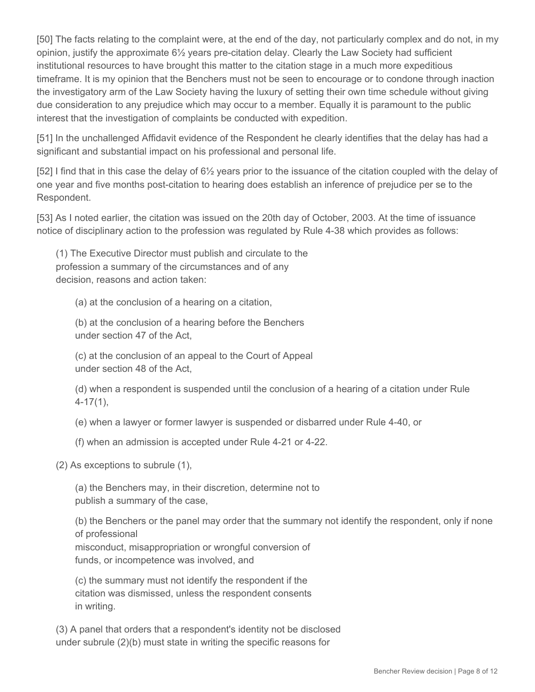[50] The facts relating to the complaint were, at the end of the day, not particularly complex and do not, in my opinion, justify the approximate 6½ years pre-citation delay. Clearly the Law Society had sufficient institutional resources to have brought this matter to the citation stage in a much more expeditious timeframe. It is my opinion that the Benchers must not be seen to encourage or to condone through inaction the investigatory arm of the Law Society having the luxury of setting their own time schedule without giving due consideration to any prejudice which may occur to a member. Equally it is paramount to the public interest that the investigation of complaints be conducted with expedition.

[51] In the unchallenged Affidavit evidence of the Respondent he clearly identifies that the delay has had a significant and substantial impact on his professional and personal life.

[52] I find that in this case the delay of 6½ years prior to the issuance of the citation coupled with the delay of one year and five months post-citation to hearing does establish an inference of prejudice per se to the Respondent.

[53] As I noted earlier, the citation was issued on the 20th day of October, 2003. At the time of issuance notice of disciplinary action to the profession was regulated by Rule 4-38 which provides as follows:

(1) The Executive Director must publish and circulate to the profession a summary of the circumstances and of any decision, reasons and action taken:

(a) at the conclusion of a hearing on a citation,

(b) at the conclusion of a hearing before the Benchers under section 47 of the Act,

(c) at the conclusion of an appeal to the Court of Appeal under section 48 of the Act,

(d) when a respondent is suspended until the conclusion of a hearing of a citation under Rule 4-17(1),

(e) when a lawyer or former lawyer is suspended or disbarred under Rule 4-40, or

(f) when an admission is accepted under Rule 4-21 or 4-22.

(2) As exceptions to subrule (1),

(a) the Benchers may, in their discretion, determine not to publish a summary of the case,

(b) the Benchers or the panel may order that the summary not identify the respondent, only if none of professional

misconduct, misappropriation or wrongful conversion of funds, or incompetence was involved, and

(c) the summary must not identify the respondent if the citation was dismissed, unless the respondent consents in writing.

(3) A panel that orders that a respondent's identity not be disclosed under subrule (2)(b) must state in writing the specific reasons for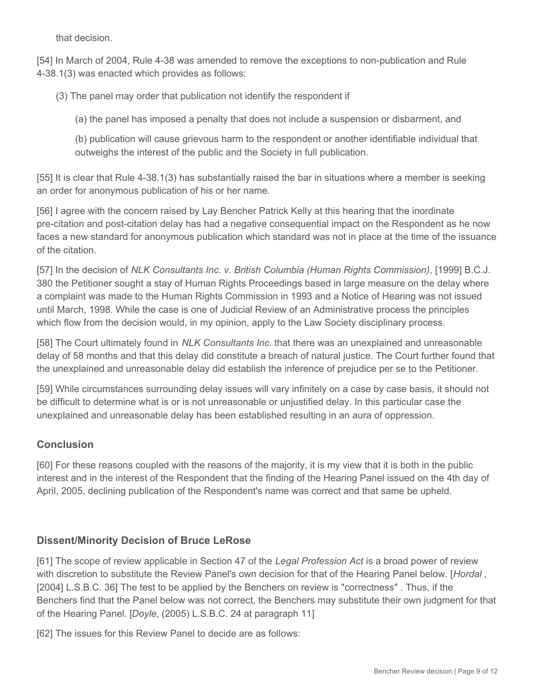that decision.

[54] In March of 2004, Rule 4-38 was amended to remove the exceptions to non-publication and Rule 4-38.1(3) was enacted which provides as follows:

(3) The panel may order that publication not identify the respondent if

(a) the panel has imposed a penalty that does not include a suspension or disbarment, and

(b) publication will cause grievous harm to the respondent or another identifiable individual that outweighs the interest of the public and the Society in full publication.

[55] It is clear that Rule 4-38.1(3) has substantially raised the bar in situations where a member is seeking an order for anonymous publication of his or her name.

[56] I agree with the concern raised by Lay Bencher Patrick Kelly at this hearing that the inordinate pre-citation and post-citation delay has had a negative consequential impact on the Respondent as he now faces a new standard for anonymous publication which standard was not in place at the time of the issuance of the citation.

[57] In the decision of *NLK Consultants Inc. v. British Columbia (Human Rights Commission)*, [1999] B.C.J. 380 the Petitioner sought a stay of Human Rights Proceedings based in large measure on the delay where a complaint was made to the Human Rights Commission in 1993 and a Notice of Hearing was not issued until March, 1998. While the case is one of Judicial Review of an Administrative process the principles which flow from the decision would, in my opinion, apply to the Law Society disciplinary process.

[58] The Court ultimately found in *NLK Consultants Inc.* that there was an unexplained and unreasonable delay of 58 months and that this delay did constitute a breach of natural justice. The Court further found that the unexplained and unreasonable delay did establish the inference of prejudice per se to the Petitioner.

[59] While circumstances surrounding delay issues will vary infinitely on a case by case basis, it should not be difficult to determine what is or is not unreasonable or unjustified delay. In this particular case the unexplained and unreasonable delay has been established resulting in an aura of oppression.

### **Conclusion**

[60] For these reasons coupled with the reasons of the majority, it is my view that it is both in the public interest and in the interest of the Respondent that the finding of the Hearing Panel issued on the 4th day of April, 2005, declining publication of the Respondent's name was correct and that same be upheld.

### **Dissent/Minority Decision of Bruce LeRose**

[61] The scope of review applicable in Section 47 of the *Legal Profession Act* is a broad power of review with discretion to substitute the Review Panel's own decision for that of the Hearing Panel below. [*Hordal* , [2004] L.S.B.C. 36] The test to be applied by the Benchers on review is "correctness" . Thus, if the Benchers find that the Panel below was not correct, the Benchers may substitute their own judgment for that of the Hearing Panel. [*Doyle*, (2005) L.S.B.C. 24 at paragraph 11]

[62] The issues for this Review Panel to decide are as follows: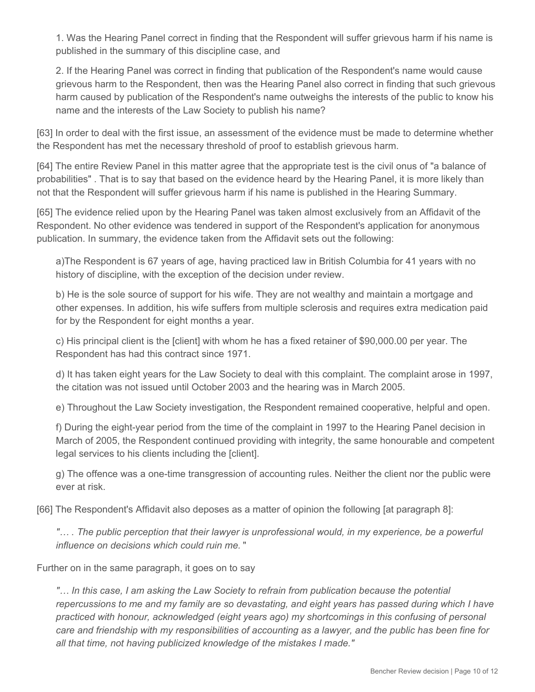1. Was the Hearing Panel correct in finding that the Respondent will suffer grievous harm if his name is published in the summary of this discipline case, and

2. If the Hearing Panel was correct in finding that publication of the Respondent's name would cause grievous harm to the Respondent, then was the Hearing Panel also correct in finding that such grievous harm caused by publication of the Respondent's name outweighs the interests of the public to know his name and the interests of the Law Society to publish his name?

[63] In order to deal with the first issue, an assessment of the evidence must be made to determine whether the Respondent has met the necessary threshold of proof to establish grievous harm.

[64] The entire Review Panel in this matter agree that the appropriate test is the civil onus of "a balance of probabilities" . That is to say that based on the evidence heard by the Hearing Panel, it is more likely than not that the Respondent will suffer grievous harm if his name is published in the Hearing Summary.

[65] The evidence relied upon by the Hearing Panel was taken almost exclusively from an Affidavit of the Respondent. No other evidence was tendered in support of the Respondent's application for anonymous publication. In summary, the evidence taken from the Affidavit sets out the following:

a)The Respondent is 67 years of age, having practiced law in British Columbia for 41 years with no history of discipline, with the exception of the decision under review.

b) He is the sole source of support for his wife. They are not wealthy and maintain a mortgage and other expenses. In addition, his wife suffers from multiple sclerosis and requires extra medication paid for by the Respondent for eight months a year.

c) His principal client is the [client] with whom he has a fixed retainer of \$90,000.00 per year. The Respondent has had this contract since 1971.

d) It has taken eight years for the Law Society to deal with this complaint. The complaint arose in 1997, the citation was not issued until October 2003 and the hearing was in March 2005.

e) Throughout the Law Society investigation, the Respondent remained cooperative, helpful and open.

f) During the eight-year period from the time of the complaint in 1997 to the Hearing Panel decision in March of 2005, the Respondent continued providing with integrity, the same honourable and competent legal services to his clients including the [client].

g) The offence was a one-time transgression of accounting rules. Neither the client nor the public were ever at risk.

[66] The Respondent's Affidavit also deposes as a matter of opinion the following [at paragraph 8]:

*"… . The public perception that their lawyer is unprofessional would, in my experience, be a powerful influence on decisions which could ruin me.* "

Further on in the same paragraph, it goes on to say

*"… In this case, I am asking the Law Society to refrain from publication because the potential repercussions to me and my family are so devastating, and eight years has passed during which I have practiced with honour, acknowledged (eight years ago) my shortcomings in this confusing of personal care and friendship with my responsibilities of accounting as a lawyer, and the public has been fine for all that time, not having publicized knowledge of the mistakes I made."*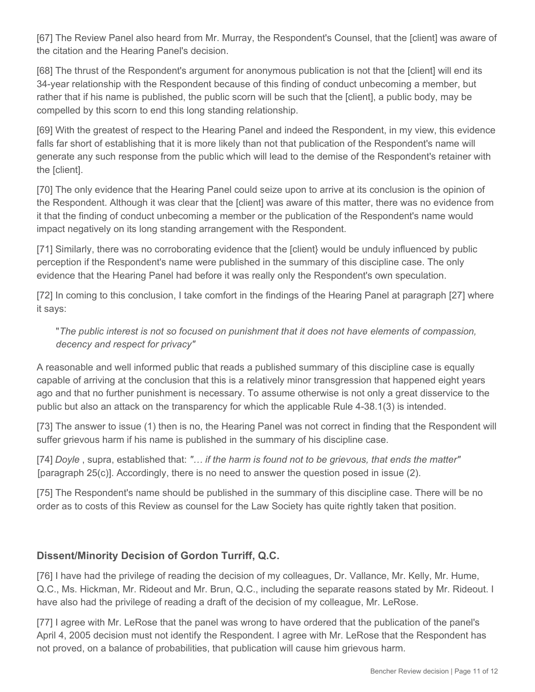[67] The Review Panel also heard from Mr. Murray, the Respondent's Counsel, that the [client] was aware of the citation and the Hearing Panel's decision.

[68] The thrust of the Respondent's argument for anonymous publication is not that the [client] will end its 34-year relationship with the Respondent because of this finding of conduct unbecoming a member, but rather that if his name is published, the public scorn will be such that the [client], a public body, may be compelled by this scorn to end this long standing relationship.

[69] With the greatest of respect to the Hearing Panel and indeed the Respondent, in my view, this evidence falls far short of establishing that it is more likely than not that publication of the Respondent's name will generate any such response from the public which will lead to the demise of the Respondent's retainer with the [client].

[70] The only evidence that the Hearing Panel could seize upon to arrive at its conclusion is the opinion of the Respondent. Although it was clear that the [client] was aware of this matter, there was no evidence from it that the finding of conduct unbecoming a member or the publication of the Respondent's name would impact negatively on its long standing arrangement with the Respondent.

[71] Similarly, there was no corroborating evidence that the [client} would be unduly influenced by public perception if the Respondent's name were published in the summary of this discipline case. The only evidence that the Hearing Panel had before it was really only the Respondent's own speculation.

[72] In coming to this conclusion, I take comfort in the findings of the Hearing Panel at paragraph [27] where it says:

### "*The public interest is not so focused on punishment that it does not have elements of compassion, decency and respect for privacy"*

A reasonable and well informed public that reads a published summary of this discipline case is equally capable of arriving at the conclusion that this is a relatively minor transgression that happened eight years ago and that no further punishment is necessary. To assume otherwise is not only a great disservice to the public but also an attack on the transparency for which the applicable Rule 4-38.1(3) is intended.

[73] The answer to issue (1) then is no, the Hearing Panel was not correct in finding that the Respondent will suffer grievous harm if his name is published in the summary of his discipline case.

[74] *Doyle* , supra, established that: *"… if the harm is found not to be grievous, that ends the matter"* [paragraph 25(c)]. Accordingly, there is no need to answer the question posed in issue (2).

[75] The Respondent's name should be published in the summary of this discipline case. There will be no order as to costs of this Review as counsel for the Law Society has quite rightly taken that position.

# **Dissent/Minority Decision of Gordon Turriff, Q.C.**

[76] I have had the privilege of reading the decision of my colleagues, Dr. Vallance, Mr. Kelly, Mr. Hume, Q.C., Ms. Hickman, Mr. Rideout and Mr. Brun, Q.C., including the separate reasons stated by Mr. Rideout. I have also had the privilege of reading a draft of the decision of my colleague, Mr. LeRose.

[77] I agree with Mr. LeRose that the panel was wrong to have ordered that the publication of the panel's April 4, 2005 decision must not identify the Respondent. I agree with Mr. LeRose that the Respondent has not proved, on a balance of probabilities, that publication will cause him grievous harm.